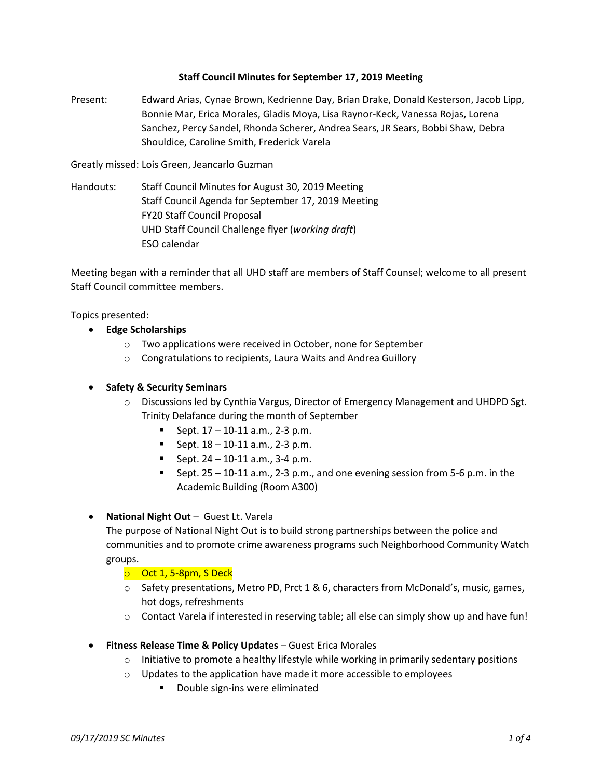## **Staff Council Minutes for September 17, 2019 Meeting**

Present: Edward Arias, Cynae Brown, Kedrienne Day, Brian Drake, Donald Kesterson, Jacob Lipp, Bonnie Mar, Erica Morales, Gladis Moya, Lisa Raynor-Keck, Vanessa Rojas, Lorena Sanchez, Percy Sandel, Rhonda Scherer, Andrea Sears, JR Sears, Bobbi Shaw, Debra Shouldice, Caroline Smith, Frederick Varela

Greatly missed: Lois Green, Jeancarlo Guzman

Handouts: Staff Council Minutes for August 30, 2019 Meeting Staff Council Agenda for September 17, 2019 Meeting FY20 Staff Council Proposal UHD Staff Council Challenge flyer (*working draft*) ESO calendar

Meeting began with a reminder that all UHD staff are members of Staff Counsel; welcome to all present Staff Council committee members.

Topics presented:

- **Edge Scholarships**
	- o Two applications were received in October, none for September
	- o Congratulations to recipients, Laura Waits and Andrea Guillory

## **Safety & Security Seminars**

- $\circ$  Discussions led by Cynthia Vargus, Director of Emergency Management and UHDPD Sgt. Trinity Delafance during the month of September
	- Sept.  $17 10 11$  a.m., 2-3 p.m.
	- Sept.  $18 10 11$  a.m., 2-3 p.m.
	- Sept.  $24 10 11$  a.m.,  $3 4$  p.m.
	- Sept.  $25 10 11$  a.m.,  $2 3$  p.m., and one evening session from 5-6 p.m. in the Academic Building (Room A300)

**National Night Out** – Guest Lt. Varela

The purpose of National Night Out is to build strong partnerships between the police and communities and to promote crime awareness programs such Neighborhood Community Watch groups.

 $\circ$  Oct 1, 5-8pm, S Deck

- $\circ$  Safety presentations, Metro PD, Prct 1 & 6, characters from McDonald's, music, games, hot dogs, refreshments
- o Contact Varela if interested in reserving table; all else can simply show up and have fun!
- **Fitness Release Time & Policy Updates** Guest Erica Morales
	- $\circ$  Initiative to promote a healthy lifestyle while working in primarily sedentary positions
	- $\circ$  Updates to the application have made it more accessible to employees
		- Double sign-ins were eliminated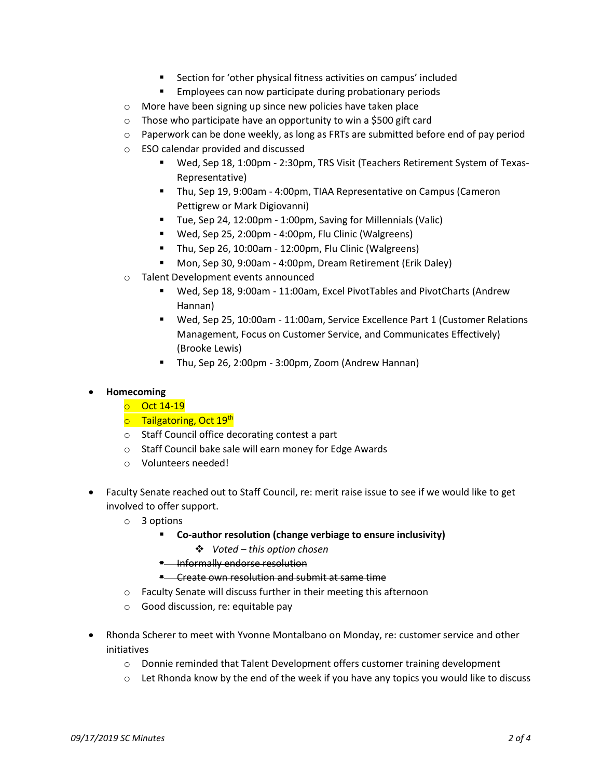- Section for 'other physical fitness activities on campus' included
- **Employees can now participate during probationary periods**
- o More have been signing up since new policies have taken place
- $\circ$  Those who participate have an opportunity to win a \$500 gift card
- $\circ$  Paperwork can be done weekly, as long as FRTs are submitted before end of pay period
- o ESO calendar provided and discussed
	- Wed, Sep 18, 1:00pm 2:30pm, TRS Visit (Teachers Retirement System of Texas-Representative)
	- Thu, Sep 19, 9:00am 4:00pm, TIAA Representative on Campus (Cameron Pettigrew or Mark Digiovanni)
	- Tue, Sep 24, 12:00pm 1:00pm, Saving for Millennials (Valic)
	- Wed, Sep 25, 2:00pm 4:00pm, Flu Clinic (Walgreens)
	- Thu, Sep 26, 10:00am 12:00pm, Flu Clinic (Walgreens)
	- Mon, Sep 30, 9:00am 4:00pm, Dream Retirement (Erik Daley)
- o Talent Development events announced
	- Wed, Sep 18, 9:00am 11:00am, Excel PivotTables and PivotCharts (Andrew Hannan)
	- Wed, Sep 25, 10:00am 11:00am, Service Excellence Part 1 (Customer Relations Management, Focus on Customer Service, and Communicates Effectively) (Brooke Lewis)
	- Thu, Sep 26, 2:00pm 3:00pm, Zoom (Andrew Hannan)

# **Homecoming**

- o Oct 14-19
- **o** Tailgatoring, Oct 19<sup>th</sup>
- o Staff Council office decorating contest a part
- o Staff Council bake sale will earn money for Edge Awards
- o Volunteers needed!
- Faculty Senate reached out to Staff Council, re: merit raise issue to see if we would like to get involved to offer support.
	- o 3 options
		- **Co-author resolution (change verbiage to ensure inclusivity)** 
			- *Voted – this option chosen*
		- **E** Informally endorse resolution
		- **E** Create own resolution and submit at same time
	- o Faculty Senate will discuss further in their meeting this afternoon
	- o Good discussion, re: equitable pay
- Rhonda Scherer to meet with Yvonne Montalbano on Monday, re: customer service and other initiatives
	- o Donnie reminded that Talent Development offers customer training development
	- $\circ$  Let Rhonda know by the end of the week if you have any topics you would like to discuss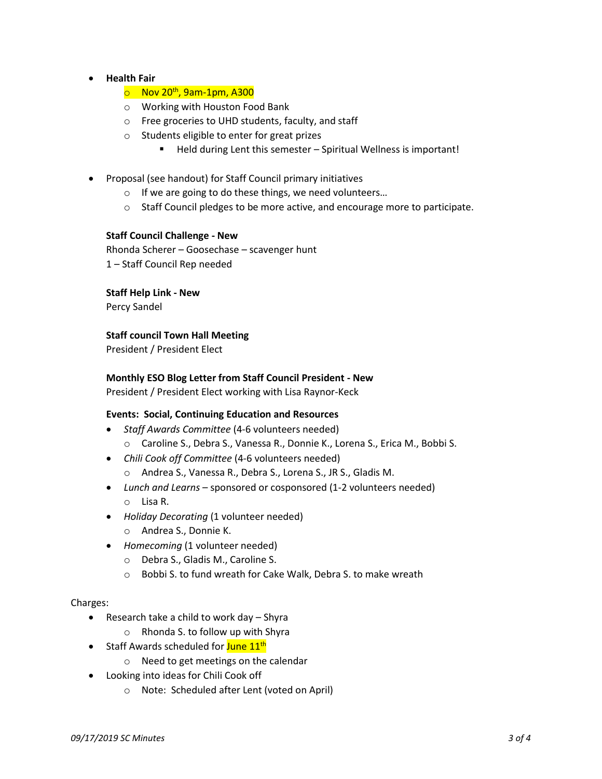- **Health Fair**
	- $\circ$  Nov 20<sup>th</sup>, 9am-1pm, A300
	- o Working with Houston Food Bank
	- o Free groceries to UHD students, faculty, and staff
	- o Students eligible to enter for great prizes
		- Held during Lent this semester Spiritual Wellness is important!
- Proposal (see handout) for Staff Council primary initiatives
	- o If we are going to do these things, we need volunteers…
	- $\circ$  Staff Council pledges to be more active, and encourage more to participate.

# **Staff Council Challenge - New**

Rhonda Scherer – Goosechase – scavenger hunt

1 – Staff Council Rep needed

**Staff Help Link - New**

Percy Sandel

# **Staff council Town Hall Meeting**

President / President Elect

# **Monthly ESO Blog Letter from Staff Council President - New**

President / President Elect working with Lisa Raynor-Keck

# **Events: Social, Continuing Education and Resources**

- *Staff Awards Committee* (4-6 volunteers needed)
	- o Caroline S., Debra S., Vanessa R., Donnie K., Lorena S., Erica M., Bobbi S.
- *Chili Cook off Committee* (4-6 volunteers needed)
	- o Andrea S., Vanessa R., Debra S., Lorena S., JR S., Gladis M.
- *Lunch and Learns* sponsored or cosponsored (1-2 volunteers needed) o Lisa R.
- *Holiday Decorating* (1 volunteer needed)
	- o Andrea S., Donnie K.
- *Homecoming* (1 volunteer needed)
	- o Debra S., Gladis M., Caroline S.
	- o Bobbi S. to fund wreath for Cake Walk, Debra S. to make wreath

#### Charges:

- Research take a child to work day Shyra
	- o Rhonda S. to follow up with Shyra
- Staff Awards scheduled for **June 11<sup>th</sup>** 
	- o Need to get meetings on the calendar
- Looking into ideas for Chili Cook off
	- o Note: Scheduled after Lent (voted on April)